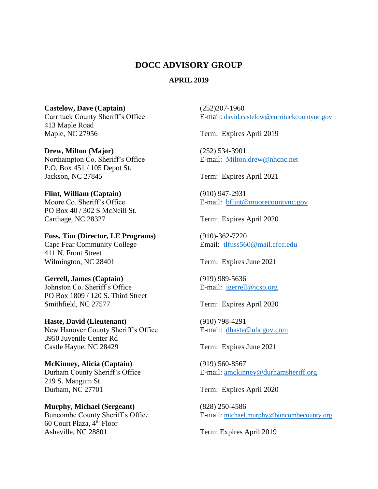## **DOCC ADVISORY GROUP**

## **APRIL 2019**

**Castelow, Dave (Captain)** (252)207-1960 413 Maple Road Maple, NC 27956 Term: Expires April 2019

**Drew, Milton (Major)** (252) 534-3901 Northampton Co. Sheriff's Office E-mail: [Milton.drew@nhcnc.net](mailto:Milton.drew@nhcnc.net) P.O. Box 451 / 105 Depot St. Jackson, NC 27845 Term: Expires April 2021

**Flint, William (Captain)** (910) 947-2931 PO Box 40 / 302 S McNeill St. Carthage, NC 28327 Term: Expires April 2020

**Fuss, Tim (Director, LE Programs)** (910)-362-7220 Cape Fear Community College Email: [tlfuss560@mail.cfcc.edu](mailto:tlfuss560@mail.cfcc.edu) 411 N. Front Street Wilmington, NC 28401 Term: Expires June 2021

## **Gerrell, James (Captain)** (919) 989-5636 Johnston Co. Sheriff's Office E-mail: <u>[jgerrell@jcso.org](mailto:jgerrell@jcso.org)</u> PO Box 1809 / 120 S. Third Street Smithfield, NC 27577 Term: Expires April 2020

**Haste, David (Lieutenant)** (910) 798-4291 New Hanover County Sheriff's Office E-mail: [dhaste@nhcgov.com](mailto:dhaste@nhcgov.com) 3950 Juvenile Center Rd Castle Hayne, NC 28429 Term: Expires June 2021

**McKinney, Alicia (Captain)** (919) 560-8567 219 S. Mangum St. Durham, NC 27701 Term: Expires April 2020

**Murphy, Michael (Sergeant)** (828) 250-4586 60 Court Plaza, 4<sup>th</sup> Floor Asheville, NC 28801 Term: Expires April 2019

Currituck County Sheriff's Office E-mail: [david.castelow@currituckcountync.gov](mailto:david.castelow@currituckcountync.gov) 

Moore Co. Sheriff's Office E-mail: [bflint@moorecountync.gov](mailto:bflint@moorecountync.gov)

Durham County Sheriff's Office E-mail: [amckinney@durhamsheriff.org](mailto:amckinney@durhamsheriff.org)

Buncombe County Sheriff's Office E-mail: [michael.murphy@buncombecounty.org](mailto:michael.murphy@buncombecounty.org)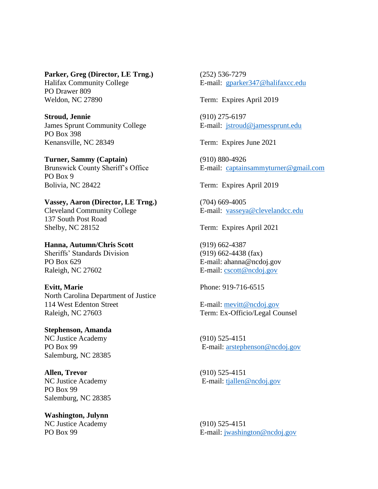**Parker, Greg (Director, LE Trng.)** (252) 536-7279

PO Drawer 809 Weldon, NC 27890 Term: Expires April 2019

**Stroud, Jennie** (910) 275-6197 James Sprunt Community College E-mail: [jstroud@jamessprunt.edu](mailto:jstroud@jamessprunt.edu) PO Box 398 Kenansville, NC 28349 Term: Expires June 2021

**Turner, Sammy (Captain)** (910) 880-4926 PO Box 9 Bolivia, NC 28422 Term: Expires April 2019

**Vassey, Aaron (Director, LE Trng.)** (704) 669-4005 Cleveland Community College E-mail: [vasseya@clevelandcc.edu](mailto:vasseya@clevelandcc.edu) 137 South Post Road Shelby, NC 28152 Term: Expires April 2021

**Hanna, Autumn/Chris Scott** (919) 662-4387 Sheriffs' Standards Division (919) 662-4438 (fax) PO Box 629 E-mail: ahanna@ncdoj.gov Raleigh, NC 27602 E-mail: [cscott@ncdoj.gov](mailto:cscott@ncdoj.gov)

**Evitt, Marie** Phone: 919-716-6515 North Carolina Department of Justice 114 West Edenton Street E-mail: [mevitt@ncdoj.gov](mailto:mevitt@ncdoj.gov) Raleigh, NC 27603 Term: Ex-Officio/Legal Counsel

**Stephenson, Amanda** NC Justice Academy (910) 525-4151 Salemburg, NC 28385

**Allen, Trevor** (910) 525-4151 PO Box 99 Salemburg, NC 28385

**Washington, Julynn** NC Justice Academy (910) 525-4151

Halifax Community College E-mail: [gparker347@halifaxcc.edu](mailto:gparker347@halifaxcc.edu)

Brunswick County Sheriff's Office E-mail: [captainsammyturner@gmail.com](mailto:captainsammyturner@gmail.com)

PO Box 99 E-mail: [arstephenson@ncdoj.gov](mailto:arstephenson@ncdoj.gov)

NC Justice Academy E-mail: [tjallen@ncdoj.gov](mailto:tjallen@ncdoj.gov)

PO Box 99 E-mail: [jwashington@ncdoj.gov](mailto:jwashington@ncdoj.gov)